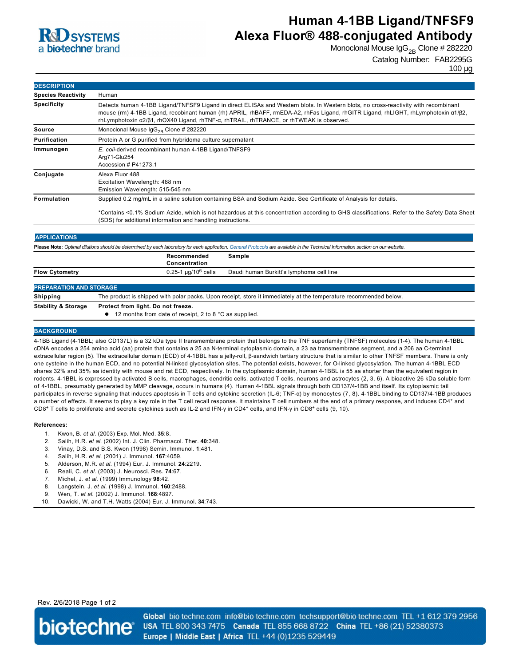

# **Human 4-1BB Ligand/TNFSF9 Alexa Fluor® 488-conjugated Antibody**

Monoclonal Mouse  $\lg G_{2B}$  Clone # 282220

### Catalog Number: FAB2295G

100 µg

| <b>DESCRIPTION</b>        |                                                                                                                                                                                                                                                                                                                                                                                      |  |  |
|---------------------------|--------------------------------------------------------------------------------------------------------------------------------------------------------------------------------------------------------------------------------------------------------------------------------------------------------------------------------------------------------------------------------------|--|--|
| <b>Species Reactivity</b> | Human                                                                                                                                                                                                                                                                                                                                                                                |  |  |
| <b>Specificity</b>        | Detects human 4-1BB Ligand/TNFSF9 Ligand in direct ELISAs and Western blots. In Western blots, no cross-reactivity with recombinant<br>mouse (rm) 4-1BB Ligand, recobinant human (rh) APRIL, rhBAFF, rmEDA-A2, rhFas Ligand, rhGITR Ligand, rhLIGHT, rhLymphotoxin $\alpha$ 1/ $\beta$ 2,<br>rhLymphotoxin α2/β1, rhOX40 Ligand, rhTNF-α, rhTRAIL, rhTRANCE, or rhTWEAK is observed. |  |  |
| Source                    | Monoclonal Mouse $\lg G_{2R}$ Clone # 282220                                                                                                                                                                                                                                                                                                                                         |  |  |
| <b>Purification</b>       | Protein A or G purified from hybridoma culture supernatant                                                                                                                                                                                                                                                                                                                           |  |  |
| Immunogen                 | E. coli-derived recombinant human 4-1BB Ligand/TNFSF9<br>Arg71-Glu254<br>Accession # P41273.1                                                                                                                                                                                                                                                                                        |  |  |
| Conjugate                 | Alexa Fluor 488<br>Excitation Wavelength: 488 nm<br>Emission Wavelength: 515-545 nm                                                                                                                                                                                                                                                                                                  |  |  |
| <b>Formulation</b>        | Supplied 0.2 mg/mL in a saline solution containing BSA and Sodium Azide. See Certificate of Analysis for details.                                                                                                                                                                                                                                                                    |  |  |
|                           | *Contains <0.1% Sodium Azide, which is not hazardous at this concentration according to GHS classifications. Refer to the Safety Data Sheet<br>(SDS) for additional information and handling instructions.                                                                                                                                                                           |  |  |

| <b>APPLICATIONS</b>                                                                                                                                                               |                                                                                                                   |                                          |  |  |
|-----------------------------------------------------------------------------------------------------------------------------------------------------------------------------------|-------------------------------------------------------------------------------------------------------------------|------------------------------------------|--|--|
| Please Note: Optimal dilutions should be determined by each laboratory for each application. General Protocols are available in the Technical Information section on our website. |                                                                                                                   |                                          |  |  |
|                                                                                                                                                                                   | Recommended<br>Concentration                                                                                      | Sample                                   |  |  |
| <b>Flow Cytometry</b>                                                                                                                                                             | $0.25 - 1 \mu q/10^6$ cells                                                                                       | Daudi human Burkitt's lymphoma cell line |  |  |
| <b>PREPARATION AND STORAGE</b>                                                                                                                                                    |                                                                                                                   |                                          |  |  |
| Shipping                                                                                                                                                                          | The product is shipped with polar packs. Upon receipt, store it immediately at the temperature recommended below. |                                          |  |  |
| <b>Stability &amp; Storage</b>                                                                                                                                                    | Protect from light. Do not freeze.                                                                                |                                          |  |  |

● 12 months from date of receipt, 2 to 8 °C as supplied.

#### **BACKGROUND**

41BB Ligand (41BBL; also CD137L) is a 32 kDa type II transmembrane protein that belongs to the TNF superfamily (TNFSF) molecules (14). The human 41BBL cDNA encodes a 254 amino acid (aa) protein that contains a 25 aa N-terminal cytoplasmic domain, a 23 aa transmembrane segment, and a 206 aa C-terminal extracellular region (5). The extracellular domain (ECD) of 41BBL has a jellyroll, βsandwich tertiary structure that is similar to other TNFSF members. There is only one cysteine in the human ECD, and no potential Nlinked glycosylation sites. The potential exists, however, for Olinked glycosylation. The human 41BBL ECD shares 32% and 35% aa identity with mouse and rat ECD, respectively. In the cytoplasmic domain, human 41BBL is 55 aa shorter than the equivalent region in rodents. 41BBL is expressed by activated B cells, macrophages, dendritic cells, activated T cells, neurons and astrocytes (2, 3, 6). A bioactive 26 kDa soluble form of 41BBL, presumably generated by MMP cleavage, occurs in humans (4). Human 41BBL signals through both CD137/41BB and itself. Its cytoplasmic tail participates in reverse signaling that induces apoptosis in T cells and cytokine secretion (IL-6; TNF-a) by monocytes (7, 8). 4-1BBL binding to CD137/4-1BB produces a number of effects. It seems to play a key role in the T cell recall response. It maintains T cell numbers at the end of a primary response, and induces CD4<sup>+</sup> and CD8<sup>+</sup> T cells to proliferate and secrete cytokines such as IL-2 and IFN-y in CD4<sup>+</sup> cells, and IFN-y in CD8<sup>+</sup> cells (9, 10).

#### **References:**

- 1. Kwon, B. *et al*. (2003) Exp. Mol. Med. **35**:8.
- 2. Salih, H.R. *et al*. (2002) Int. J. Clin. Pharmacol. Ther. **40**:348.
- 3. Vinay, D.S. and B.S. Kwon (1998) Semin. Immunol. **1**:481.
- 4. Salih, H.R. *et al*. (2001) J. Immunol. **167**:4059.
- 5. Alderson, M.R. *et al*. (1994) Eur. J. Immunol. **24**:2219.
- 6. Reali, C. *et al*. (2003) J. Neurosci. Res. **74**:67.
- 7. Michel, J. *et al*. (1999) Immunology **98**:42.
- 8. Langstein, J. *et al*. (1998) J. Immunol. **160**:2488.
- 9. Wen, T. *et al*. (2002) J. Immunol. **168**:4897.
- 10. Dawicki, W. and T.H. Watts (2004) Eur. J. Immunol. **34**:743.

Rev. 2/6/2018 Page 1 of 2



Global bio-techne.com info@bio-techne.com techsupport@bio-techne.com TEL +1 612 379 2956 USA TEL 800 343 7475 Canada TEL 855 668 8722 China TEL +86 (21) 52380373 Europe | Middle East | Africa TEL +44 (0)1235 529449